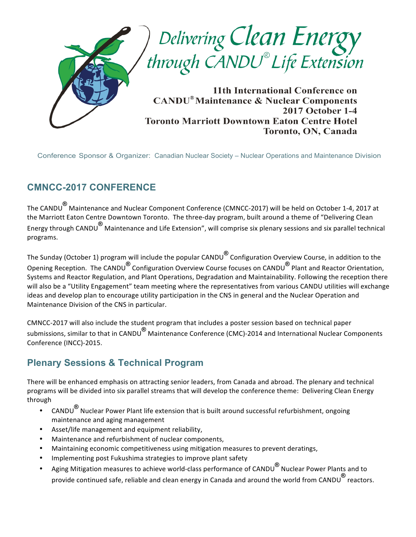

Conference Sponsor & Organizer: Canadian Nuclear Society – Nuclear Operations and Maintenance Division

### **CMNCC-2017 CONFERENCE**

The CANDU<sup>®</sup> Maintenance and Nuclear Component Conference (CMNCC-2017) will be held on October 1-4, 2017 at the Marriott Eaton Centre Downtown Toronto. The three-day program, built around a theme of "Delivering Clean Energy through CANDU<sup>®</sup> Maintenance and Life Extension", will comprise six plenary sessions and six parallel technical programs.

The Sunday (October 1) program will include the popular CANDU<sup>®</sup> Configuration Overview Course, in addition to the Opening Reception. The CANDU<sup>®</sup> Configuration Overview Course focuses on CANDU<sup>®</sup> Plant and Reactor Orientation, Systems and Reactor Regulation, and Plant Operations, Degradation and Maintainability. Following the reception there will also be a "Utility Engagement" team meeting where the representatives from various CANDU utilities will exchange ideas and develop plan to encourage utility participation in the CNS in general and the Nuclear Operation and Maintenance Division of the CNS in particular.

CMNCC-2017 will also include the student program that includes a poster session based on technical paper submissions, similar to that in CANDU<sup>®</sup> Maintenance Conference (CMC)-2014 and International Nuclear Components Conference (INCC)-2015.

### **Plenary Sessions & Technical Program**

There will be enhanced emphasis on attracting senior leaders, from Canada and abroad. The plenary and technical programs will be divided into six parallel streams that will develop the conference theme: Delivering Clean Energy through 

- CANDU<sup>®</sup> Nuclear Power Plant life extension that is built around successful refurbishment, ongoing maintenance and aging management
- Asset/life management and equipment reliability,
- Maintenance and refurbishment of nuclear components,
- Maintaining economic competitiveness using mitigation measures to prevent deratings,
- Implementing post Fukushima strategies to improve plant safety
- Aging Mitigation measures to achieve world-class performance of CANDU<sup>®</sup> Nuclear Power Plants and to provide continued safe, reliable and clean energy in Canada and around the world from CANDU<sup>®</sup> reactors.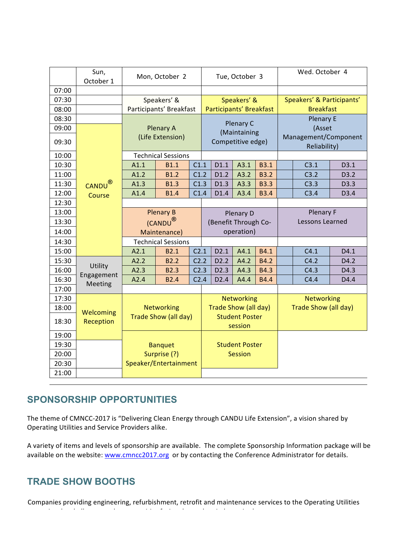|       | Sun,<br>October 1  | Mon, October 2                            |                                         | Tue, October 3                       |                                                                               |                                   | Wed. October 4 |                           |                                      |        |      |
|-------|--------------------|-------------------------------------------|-----------------------------------------|--------------------------------------|-------------------------------------------------------------------------------|-----------------------------------|----------------|---------------------------|--------------------------------------|--------|------|
| 07:00 |                    |                                           |                                         |                                      |                                                                               |                                   |                |                           |                                      |        |      |
| 07:30 |                    | Speakers' &                               |                                         |                                      | Speakers' &                                                                   |                                   |                | Speakers' & Participants' |                                      |        |      |
| 08:00 |                    | Participants' Breakfast                   |                                         |                                      | Participants' Breakfast                                                       |                                   |                | <b>Breakfast</b>          |                                      |        |      |
| 08:30 |                    |                                           |                                         |                                      | Plenary C                                                                     |                                   |                | <b>Plenary E</b>          |                                      |        |      |
| 09:00 |                    |                                           |                                         | <b>Plenary A</b><br>(Life Extension) |                                                                               | (Maintaining                      |                |                           |                                      | (Asset |      |
| 09:30 |                    |                                           |                                         |                                      |                                                                               | Competitive edge)                 |                |                           | Management/Component<br>Reliability) |        |      |
| 10:00 |                    | <b>Technical Sessions</b>                 |                                         |                                      |                                                                               |                                   |                |                           |                                      |        |      |
| 10:30 |                    | A1.1                                      | <b>B1.1</b>                             | C1.1                                 |                                                                               | D1.1                              | A3.1           | <b>B3.1</b>               |                                      | C3.1   | D3.1 |
| 11:00 |                    | A1.2                                      | <b>B1.2</b>                             | C1.2                                 |                                                                               | D1.2                              | A3.2           | <b>B3.2</b>               |                                      | C3.2   | D3.2 |
| 11:30 | CANDU <sup>®</sup> | A1.3                                      | <b>B1.3</b>                             | C1.3                                 |                                                                               | D1.3                              | A3.3           | <b>B3.3</b>               |                                      | C3.3   | D3.3 |
| 12:00 | Course             | A1.4                                      | <b>B1.4</b>                             | C1.4                                 |                                                                               | D1.4                              | A3.4           | <b>B3.4</b>               |                                      | C3.4   | D3.4 |
| 12:30 |                    |                                           |                                         |                                      |                                                                               |                                   |                |                           |                                      |        |      |
| 13:00 |                    |                                           | <b>Plenary B</b><br>(CANDU <sup>®</sup> |                                      |                                                                               | Plenary D<br>(Benefit Through Co- |                |                           | Plenary F<br>Lessons Learned         |        |      |
| 13:30 |                    |                                           |                                         |                                      |                                                                               |                                   |                |                           |                                      |        |      |
| 14:00 |                    | Maintenance)                              |                                         |                                      | operation)                                                                    |                                   |                |                           |                                      |        |      |
| 14:30 |                    | <b>Technical Sessions</b>                 |                                         |                                      |                                                                               |                                   |                |                           |                                      |        |      |
| 15:00 |                    | A2.1                                      | <b>B2.1</b>                             | C <sub>2.1</sub>                     |                                                                               | D2.1                              | A4.1           | B4.1                      |                                      | C4.1   | D4.1 |
| 15:30 | Utility            | A2.2                                      | <b>B2.2</b>                             | C2.2                                 |                                                                               | D <sub>2.2</sub>                  | A4.2           | <b>B4.2</b>               |                                      | C4.2   | D4.2 |
| 16:00 | Engagement         | A2.3                                      | <b>B2.3</b>                             | C <sub>2.3</sub>                     |                                                                               | D <sub>2.3</sub>                  | A4.3           | <b>B4.3</b>               |                                      | C4.3   | D4.3 |
| 16:30 | Meeting            | A2.4                                      | <b>B2.4</b>                             | C <sub>2.4</sub>                     |                                                                               | D2.4                              | A4.4           | <b>B4.4</b>               |                                      | C4.4   | D4.4 |
| 17:00 |                    |                                           |                                         |                                      |                                                                               |                                   |                |                           |                                      |        |      |
| 17:30 |                    | <b>Networking</b><br>Trade Show (all day) |                                         |                                      | <b>Networking</b><br>Trade Show (all day)<br><b>Student Poster</b><br>session |                                   |                | <b>Networking</b>         |                                      |        |      |
| 18:00 | Welcoming          |                                           |                                         |                                      |                                                                               |                                   |                | Trade Show (all day)      |                                      |        |      |
| 18:30 | Reception          |                                           |                                         |                                      |                                                                               |                                   |                |                           |                                      |        |      |
| 19:00 |                    |                                           |                                         |                                      |                                                                               |                                   |                |                           |                                      |        |      |
| 19:30 |                    | <b>Banquet</b><br>Surprise (?)            |                                         |                                      | <b>Student Poster</b><br><b>Session</b>                                       |                                   |                |                           |                                      |        |      |
| 20:00 |                    |                                           |                                         |                                      |                                                                               |                                   |                |                           |                                      |        |      |
| 20:30 |                    |                                           | Speaker/Entertainment                   |                                      |                                                                               |                                   |                |                           |                                      |        |      |
| 21:00 |                    |                                           |                                         |                                      |                                                                               |                                   |                |                           |                                      |        |      |

### **SPONSORSHIP OPPORTUNITIES**

The theme of CMNCC-2017 is "Delivering Clean Energy through CANDU Life Extension", a vision shared by Operating Utilities and Service Providers alike.

A variety of items and levels of sponsorship are available. The complete Sponsorship Information package will be available on the website: www.cmncc2017.org or by contacting the Conference Administrator for details.

### **TRADE SHOW BOOTHS**

Companies providing engineering, refurbishment, retrofit and maintenance services to the Operating Utilities

recognized and the challenges and opportunities  $\mathcal{L}_\text{max}$  and  $\mathcal{L}_\text{max}$  in the challenge of term.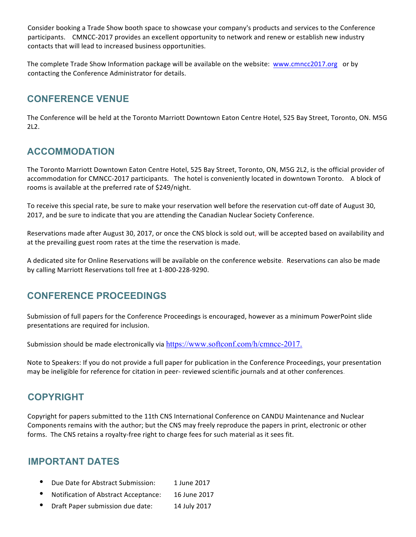Consider booking a Trade Show booth space to showcase your company's products and services to the Conference participants. CMNCC-2017 provides an excellent opportunity to network and renew or establish new industry contacts that will lead to increased business opportunities.

The complete Trade Show Information package will be available on the website: www.cmncc2017.org or by contacting the Conference Administrator for details.

#### **CONFERENCE VENUE**

The Conference will be held at the Toronto Marriott Downtown Eaton Centre Hotel, 525 Bay Street, Toronto, ON. M5G 2L2.

### **ACCOMMODATION**

The Toronto Marriott Downtown Eaton Centre Hotel, 525 Bay Street, Toronto, ON, M5G 2L2, is the official provider of accommodation for CMNCC-2017 participants. The hotel is conveniently located in downtown Toronto. A block of rooms is available at the preferred rate of \$249/night.

To receive this special rate, be sure to make your reservation well before the reservation cut-off date of August 30, 2017, and be sure to indicate that you are attending the Canadian Nuclear Society Conference.

Reservations made after August 30, 2017, or once the CNS block is sold out, will be accepted based on availability and at the prevailing guest room rates at the time the reservation is made.

A dedicated site for Online Reservations will be available on the conference website. Reservations can also be made by calling Marriott Reservations toll free at 1-800-228-9290.

### **CONFERENCE PROCEEDINGS**

Submission of full papers for the Conference Proceedings is encouraged, however as a minimum PowerPoint slide presentations are required for inclusion.

Submission should be made electronically via https://www.softconf.com/h/cmncc-2017.

Note to Speakers: If you do not provide a full paper for publication in the Conference Proceedings, your presentation may be ineligible for reference for citation in peer- reviewed scientific journals and at other conferences.

#### **COPYRIGHT**

Copyright for papers submitted to the 11th CNS International Conference on CANDU Maintenance and Nuclear Components remains with the author; but the CNS may freely reproduce the papers in print, electronic or other forms. The CNS retains a royalty-free right to charge fees for such material as it sees fit.

#### **IMPORTANT DATES**

- Due Date for Abstract Submission: 1 June 2017
- Notification of Abstract Acceptance: 16 June 2017
- Draft Paper submission due date: 14 July 2017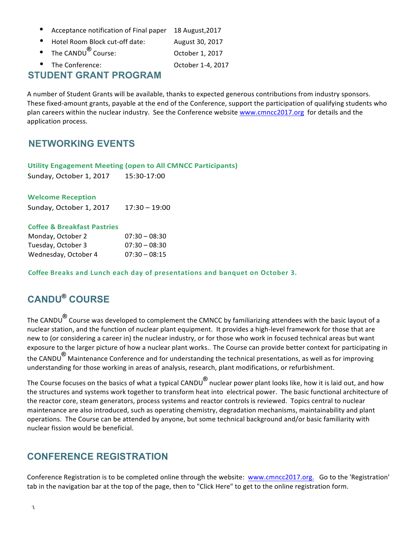- Acceptance notification of Final paper 18 August, 2017
- Hotel Room Block cut-off date: August 30, 2017
- The CANDU<sup>®</sup> Course: 0ctober 1, 2017
- Fine Conference: Conference: Conference Control of the Conference October 1-4, 2017

#### **STUDENT GRANT PROGRAM**

A number of Student Grants will be available, thanks to expected generous contributions from industry sponsors. These fixed-amount grants, payable at the end of the Conference, support the participation of qualifying students who plan careers within the nuclear industry. See the Conference website www.cmncc2017.org for details and the application process.

#### **NETWORKING EVENTS**

#### **Utility Engagement Meeting (open to All CMNCC Participants)**

Sunday, October 1, 2017 15:30-17:00

#### **Welcome Reception**

Sunday, October 1, 2017 17:30 - 19:00

#### **Coffee & Breakfast Pastries**

| Monday, October 2    | $07:30 - 08:30$ |
|----------------------|-----------------|
| Tuesday, October 3   | $07:30 - 08:30$ |
| Wednesday, October 4 | $07:30 - 08:15$ |

**Coffee Breaks and Lunch each day of presentations and banquet on October 3.**

## **CANDU® COURSE**

The CANDU<sup>®</sup> Course was developed to complement the CMNCC by familiarizing attendees with the basic layout of a nuclear station, and the function of nuclear plant equipment. It provides a high-level framework for those that are new to (or considering a career in) the nuclear industry, or for those who work in focused technical areas but want exposure to the larger picture of how a nuclear plant works... The Course can provide better context for participating in the CANDU<sup>®</sup> Maintenance Conference and for understanding the technical presentations, as well as for improving understanding for those working in areas of analysis, research, plant modifications, or refurbishment.

The Course focuses on the basics of what a typical CANDU<sup>®</sup> nuclear power plant looks like, how it is laid out, and how the structures and systems work together to transform heat into electrical power. The basic functional architecture of the reactor core, steam generators, process systems and reactor controls is reviewed. Topics central to nuclear maintenance are also introduced, such as operating chemistry, degradation mechanisms, maintainability and plant operations. The Course can be attended by anyone, but some technical background and/or basic familiarity with nuclear fission would be beneficial.

### **CONFERENCE REGISTRATION**

Conference Registration is to be completed online through the website: www.cmncc2017.org. Go to the 'Registration' tab in the navigation bar at the top of the page, then to "Click Here" to get to the online registration form.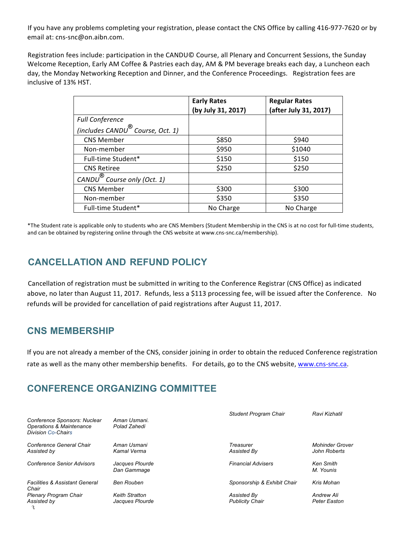If you have any problems completing your registration, please contact the CNS Office by calling 416-977-7620 or by email at: cns-snc@on.aibn.com.

Registration fees include: participation in the CANDU© Course, all Plenary and Concurrent Sessions, the Sunday Welcome Reception, Early AM Coffee & Pastries each day, AM & PM beverage breaks each day, a Luncheon each day, the Monday Networking Reception and Dinner, and the Conference Proceedings. Registration fees are inclusive of 13% HST.

|                                              | <b>Early Rates</b><br>(by July 31, 2017) | <b>Regular Rates</b><br>(after July 31, 2017) |
|----------------------------------------------|------------------------------------------|-----------------------------------------------|
| <b>Full Conference</b>                       |                                          |                                               |
| (includes CANDU <sup>®</sup> Course, Oct. 1) |                                          |                                               |
| <b>CNS Member</b>                            | \$850                                    | \$940                                         |
| Non-member                                   | \$950                                    | \$1040                                        |
| Full-time Student*                           | \$150                                    | \$150                                         |
| <b>CNS Retiree</b>                           | \$250                                    | \$250                                         |
| CANDU <sup>®</sup> Course only (Oct. 1)      |                                          |                                               |
| <b>CNS Member</b>                            | \$300                                    | \$300                                         |
| Non-member                                   | \$350                                    | \$350                                         |
| Full-time Student*                           | No Charge                                | No Charge                                     |

\*The Student rate is applicable only to students who are CNS Members (Student Membership in the CNS is at no cost for full-time students, and can be obtained by registering online through the CNS website at www.cns-snc.ca/membership).

#### **CANCELLATION AND REFUND POLICY**

Cancellation of registration must be submitted in writing to the Conference Registrar (CNS Office) as indicated above, no later than August 11, 2017. Refunds, less a \$113 processing fee, will be issued after the Conference. No refunds will be provided for cancellation of paid registrations after August 11, 2017.

#### **CNS MEMBERSHIP**

If you are not already a member of the CNS, consider joining in order to obtain the reduced Conference registration rate as well as the many other membership benefits. For details, go to the CNS website, www.cns-snc.ca.

### **CONFERENCE ORGANIZING COMMITTEE**

| Conference Sponsors: Nuclear<br>Operations & Maintenance | Aman Usmani.<br>Polad Zahedi             | <b>Student Program Chair</b>          | Ravi Kizhatil                          |
|----------------------------------------------------------|------------------------------------------|---------------------------------------|----------------------------------------|
| <b>Division Co-Chairs</b>                                |                                          |                                       |                                        |
| Conference General Chair<br>Assisted by                  | Aman Usmani<br>Kamal Verma               | Treasurer<br>Assisted By              | <b>Mohinder Grover</b><br>John Roberts |
| <b>Conference Senior Advisors</b>                        | Jacques Plourde<br>Dan Gammage           | <b>Financial Advisers</b>             | <b>Ken Smith</b><br>M. Younis          |
| <b>Facilities &amp; Assistant General</b><br>Chair       | Ben Rouben                               | Sponsorship & Exhibit Chair           | Kris Mohan                             |
| <b>Plenary Program Chair</b><br>Assisted by              | <b>Keith Stratton</b><br>Jacques Plourde | Assisted By<br><b>Publicity Chair</b> | Andrew Ali<br><b>Peter Easton</b>      |